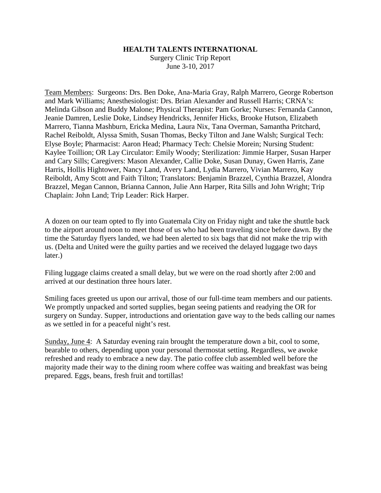## **HEALTH TALENTS INTERNATIONAL**

Surgery Clinic Trip Report June 3-10, 2017

Team Members: Surgeons: Drs. Ben Doke, Ana-Maria Gray, Ralph Marrero, George Robertson and Mark Williams; Anesthesiologist: Drs. Brian Alexander and Russell Harris; CRNA's: Melinda Gibson and Buddy Malone; Physical Therapist: Pam Gorke; Nurses: Fernanda Cannon, Jeanie Damren, Leslie Doke, Lindsey Hendricks, Jennifer Hicks, Brooke Hutson, Elizabeth Marrero, Tianna Mashburn, Ericka Medina, Laura Nix, Tana Overman, Samantha Pritchard, Rachel Reiboldt, Alyssa Smith, Susan Thomas, Becky Tilton and Jane Walsh; Surgical Tech: Elyse Boyle; Pharmacist: Aaron Head; Pharmacy Tech: Chelsie Morein; Nursing Student: Kaylee Toillion; OR Lay Circulator: Emily Woody; Sterilization: Jimmie Harper, Susan Harper and Cary Sills; Caregivers: Mason Alexander, Callie Doke, Susan Dunay, Gwen Harris, Zane Harris, Hollis Hightower, Nancy Land, Avery Land, Lydia Marrero, Vivian Marrero, Kay Reiboldt, Amy Scott and Faith Tilton; Translators: Benjamin Brazzel, Cynthia Brazzel, Alondra Brazzel, Megan Cannon, Brianna Cannon, Julie Ann Harper, Rita Sills and John Wright; Trip Chaplain: John Land; Trip Leader: Rick Harper.

A dozen on our team opted to fly into Guatemala City on Friday night and take the shuttle back to the airport around noon to meet those of us who had been traveling since before dawn. By the time the Saturday flyers landed, we had been alerted to six bags that did not make the trip with us. (Delta and United were the guilty parties and we received the delayed luggage two days later.)

Filing luggage claims created a small delay, but we were on the road shortly after 2:00 and arrived at our destination three hours later.

Smiling faces greeted us upon our arrival, those of our full-time team members and our patients. We promptly unpacked and sorted supplies, began seeing patients and readying the OR for surgery on Sunday. Supper, introductions and orientation gave way to the beds calling our names as we settled in for a peaceful night's rest.

Sunday, June 4: A Saturday evening rain brought the temperature down a bit, cool to some, bearable to others, depending upon your personal thermostat setting. Regardless, we awoke refreshed and ready to embrace a new day. The patio coffee club assembled well before the majority made their way to the dining room where coffee was waiting and breakfast was being prepared. Eggs, beans, fresh fruit and tortillas!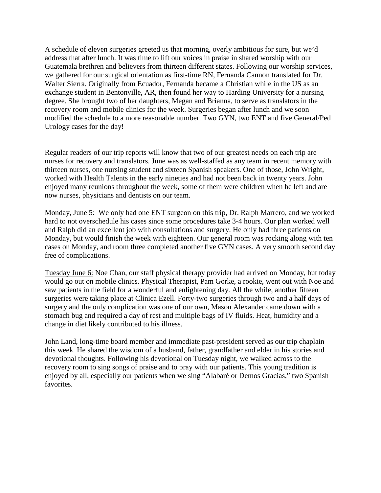A schedule of eleven surgeries greeted us that morning, overly ambitious for sure, but we'd address that after lunch. It was time to lift our voices in praise in shared worship with our Guatemala brethren and believers from thirteen different states. Following our worship services, we gathered for our surgical orientation as first-time RN, Fernanda Cannon translated for Dr. Walter Sierra. Originally from Ecuador, Fernanda became a Christian while in the US as an exchange student in Bentonville, AR, then found her way to Harding University for a nursing degree. She brought two of her daughters, Megan and Brianna, to serve as translators in the recovery room and mobile clinics for the week. Surgeries began after lunch and we soon modified the schedule to a more reasonable number. Two GYN, two ENT and five General/Ped Urology cases for the day!

Regular readers of our trip reports will know that two of our greatest needs on each trip are nurses for recovery and translators. June was as well-staffed as any team in recent memory with thirteen nurses, one nursing student and sixteen Spanish speakers. One of those, John Wright, worked with Health Talents in the early nineties and had not been back in twenty years. John enjoyed many reunions throughout the week, some of them were children when he left and are now nurses, physicians and dentists on our team.

Monday, June 5: We only had one ENT surgeon on this trip, Dr. Ralph Marrero, and we worked hard to not overschedule his cases since some procedures take 3-4 hours. Our plan worked well and Ralph did an excellent job with consultations and surgery. He only had three patients on Monday, but would finish the week with eighteen. Our general room was rocking along with ten cases on Monday, and room three completed another five GYN cases. A very smooth second day free of complications.

Tuesday June 6: Noe Chan, our staff physical therapy provider had arrived on Monday, but today would go out on mobile clinics. Physical Therapist, Pam Gorke, a rookie, went out with Noe and saw patients in the field for a wonderful and enlightening day. All the while, another fifteen surgeries were taking place at Clinica Ezell. Forty-two surgeries through two and a half days of surgery and the only complication was one of our own, Mason Alexander came down with a stomach bug and required a day of rest and multiple bags of IV fluids. Heat, humidity and a change in diet likely contributed to his illness.

John Land, long-time board member and immediate past-president served as our trip chaplain this week. He shared the wisdom of a husband, father, grandfather and elder in his stories and devotional thoughts. Following his devotional on Tuesday night, we walked across to the recovery room to sing songs of praise and to pray with our patients. This young tradition is enjoyed by all, especially our patients when we sing "Alabaré or Demos Gracias," two Spanish favorites.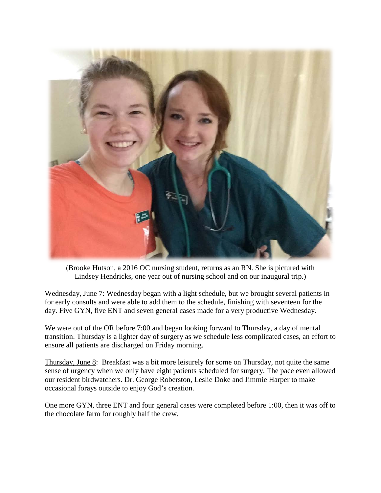

(Brooke Hutson, a 2016 OC nursing student, returns as an RN. She is pictured with Lindsey Hendricks, one year out of nursing school and on our inaugural trip.)

Wednesday, June 7: Wednesday began with a light schedule, but we brought several patients in for early consults and were able to add them to the schedule, finishing with seventeen for the day. Five GYN, five ENT and seven general cases made for a very productive Wednesday.

We were out of the OR before 7:00 and began looking forward to Thursday, a day of mental transition. Thursday is a lighter day of surgery as we schedule less complicated cases, an effort to ensure all patients are discharged on Friday morning.

Thursday, June 8: Breakfast was a bit more leisurely for some on Thursday, not quite the same sense of urgency when we only have eight patients scheduled for surgery. The pace even allowed our resident birdwatchers. Dr. George Roberston, Leslie Doke and Jimmie Harper to make occasional forays outside to enjoy God's creation.

One more GYN, three ENT and four general cases were completed before 1:00, then it was off to the chocolate farm for roughly half the crew.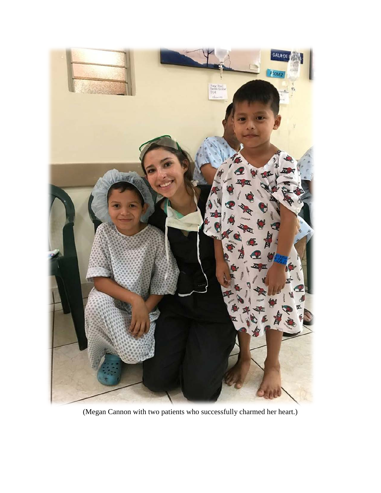

(Megan Cannon with two patients who successfully charmed her heart.)